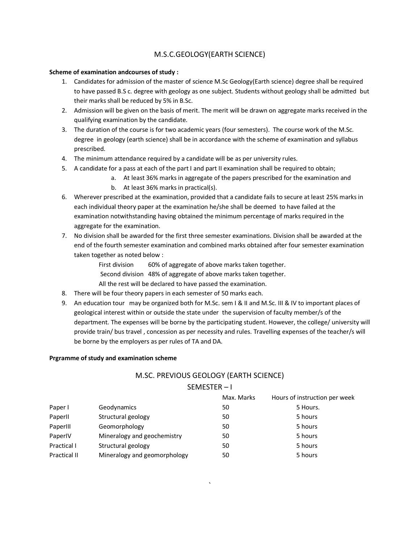# M.S.C.GEOLOGY(EARTH SCIENCE)

# **Scheme of examination andcourses of study :**

- 1. Candidates for admission of the master of science M.Sc Geology(Earth science) degree shall be required to have passed B.S c. degree with geology as one subject. Students without geology shall be admitted but their marks shall be reduced by 5% in B.Sc.
- 2. Admission will be given on the basis of merit. The merit will be drawn on aggregate marks received in the qualifying examination by the candidate.
- 3. The duration of the course is for two academic years (four semesters). The course work of the M.Sc. degree in geology (earth science) shall be in accordance with the scheme of examination and syllabus prescribed.
- 4. The minimum attendance required by a candidate will be as per university rules.
- 5. A candidate for a pass at each of the part I and part II examination shall be required to obtain;
	- a. At least 36% marks in aggregate of the papers prescribed for the examination and
		- b. At least 36% marks in practical(s).
- 6. Wherever prescribed at the examination, provided that a candidate fails to secure at least 25% marks in each individual theory paper at the examination he/she shall be deemed to have failed at the examination notwithstanding having obtained the minimum percentage of marks required in the aggregate for the examination.
- 7. No division shall be awarded for the first three semester examinations. Division shall be awarded at the end of the fourth semester examination and combined marks obtained after four semester examination taken together as noted below :

First division 60% of aggregate of above marks taken together.

Second division 48% of aggregate of above marks taken together.

All the rest will be declared to have passed the examination.

- 8. There will be four theory papers in each semester of 50 marks each.
- 9. An education tour may be organized both for M.Sc. sem I & II and M.Sc. III & IV to important places of geological interest within or outside the state under the supervision of faculty member/s of the department. The expenses will be borne by the participating student. However, the college/ university will provide train/ bus travel , concession as per necessity and rules. Travelling expenses of the teacher/s will be borne by the employers as per rules of TA and DA.

#### **Prgramme of study and examination scheme**

# M.SC. PREVIOUS GEOLOGY (EARTH SCIENCE) SEMESTER – I

|              |                              | Max. Marks | Hours of instruction per week |
|--------------|------------------------------|------------|-------------------------------|
| Paper I      | Geodynamics                  | 50         | 5 Hours.                      |
| PaperII      | Structural geology           | 50         | 5 hours                       |
| PaperIII     | Geomorphology                | 50         | 5 hours                       |
| PaperIV      | Mineralogy and geochemistry  | 50         | 5 hours                       |
| Practical I  | Structural geology           | 50         | 5 hours                       |
| Practical II | Mineralogy and geomorphology | 50         | 5 hours                       |

`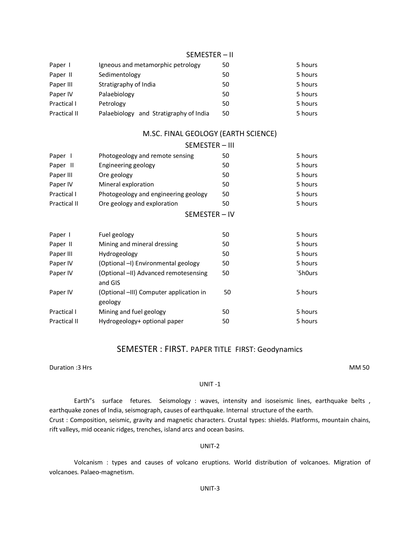| Paper I      | Igneous and metamorphic petrology      | 50 | 5 hours |
|--------------|----------------------------------------|----|---------|
| Paper II     | Sedimentology                          | 50 | 5 hours |
| Paper III    | Stratigraphy of India                  | 50 | 5 hours |
| Paper IV     | Palaebiology                           | 50 | 5 hours |
| Practical I  | Petrology                              | 50 | 5 hours |
| Practical II | Palaebiology and Stratigraphy of India | 50 | 5 hours |

# M.SC. FINAL GEOLOGY (EARTH SCIENCE)

|              | SEMESTER - III                                     |    |         |
|--------------|----------------------------------------------------|----|---------|
| Paper 1      | Photogeology and remote sensing                    | 50 | 5 hours |
| Paper II     | Engineering geology                                | 50 | 5 hours |
| Paper III    | Ore geology                                        | 50 | 5 hours |
| Paper IV     | Mineral exploration                                | 50 | 5 hours |
| Practical I  | Photogeology and engineering geology               | 50 | 5 hours |
| Practical II | Ore geology and exploration                        | 50 | 5 hours |
|              | SEMESTER-IV                                        |    |         |
| Paper I      | Fuel geology                                       | 50 | 5 hours |
| Paper II     | Mining and mineral dressing                        | 50 | 5 hours |
| Paper III    | Hydrogeology                                       | 50 | 5 hours |
| Paper IV     | (Optional -I) Environmental geology                | 50 | 5 hours |
| Paper IV     | (Optional -II) Advanced remotesensing<br>and GIS   | 50 | `5h0urs |
| Paper IV     | (Optional -III) Computer application in<br>geology | 50 | 5 hours |
| Practical I  | Mining and fuel geology                            | 50 | 5 hours |
| Practical II | Hydrogeology+ optional paper                       | 50 | 5 hours |

# SEMESTER : FIRST. PAPER TITLE FIRST: Geodynamics

Duration :3 Hrs MM 50

#### UNIT -1

Earth"s surface fetures. Seismology : waves, intensity and isoseismic lines, earthquake belts , earthquake zones of India, seismograph, causes of earthquake. Internal structure of the earth. Crust : Composition, seismic, gravity and magnetic characters. Crustal types: shields. Platforms, mountain chains, rift valleys, mid oceanic ridges, trenches, island arcs and ocean basins.

#### UNIT-2

Volcanism : types and causes of volcano eruptions. World distribution of volcanoes. Migration of volcanoes. Palaeo-magnetism.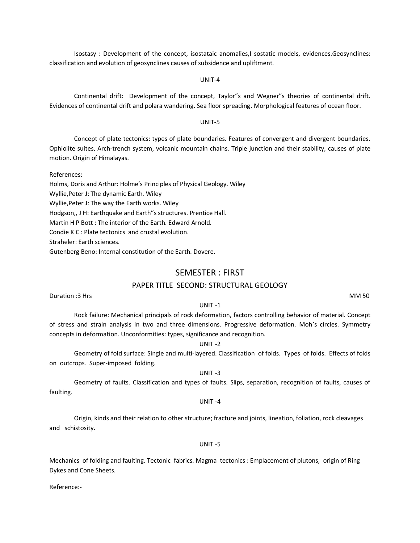Isostasy : Development of the concept, isostataic anomalies,I sostatic models, evidences.Geosynclines: classification and evolution of geosynclines causes of subsidence and upliftment.

#### UNIT-4

Continental drift: Development of the concept, Taylor"s and Wegner"s theories of continental drift. Evidences of continental drift and polara wandering. Sea floor spreading. Morphological features of ocean floor.

#### UNIT-5

Concept of plate tectonics: types of plate boundaries. Features of convergent and divergent boundaries. Ophiolite suites, Arch-trench system, volcanic mountain chains. Triple junction and their stability, causes of plate motion. Origin of Himalayas.

References:

Holms, Doris and Arthur: Holme's Principles of Physical Geology. Wiley

Wyllie,Peter J: The dynamic Earth. Wiley

Wyllie,Peter J: The way the Earth works. Wiley

Hodgson,, J H: Earthquake and Earth"s structures. Prentice Hall.

Martin H P Bott : The interior of the Earth. Edward Arnold.

Condie K C : Plate tectonics and crustal evolution.

Straheler: Earth sciences.

Gutenberg Beno: Internal constitution of the Earth. Dovere.

# SEMESTER : FIRST

# PAPER TITLE SECOND: STRUCTURAL GEOLOGY

Duration :3 Hrs MM 50

## UNIT -1

Rock failure: Mechanical principals of rock deformation, factors controlling behavior of material. Concept of stress and strain analysis in two and three dimensions. Progressive deformation. Moh's circles. Symmetry concepts in deformation. Unconformities: types, significance and recognition.

#### UNIT -2

Geometry of fold surface: Single and multi-layered. Classification of folds. Types of folds. Effects of folds on outcrops. Super-imposed folding.

# UNIT -3

Geometry of faults. Classification and types of faults. Slips, separation, recognition of faults, causes of faulting.

#### UNIT -4

Origin, kinds and their relation to other structure; fracture and joints, lineation, foliation, rock cleavages and schistosity.

#### UNIT -5

Mechanics of folding and faulting. Tectonic fabrics. Magma tectonics : Emplacement of plutons, origin of Ring Dykes and Cone Sheets.

Reference:-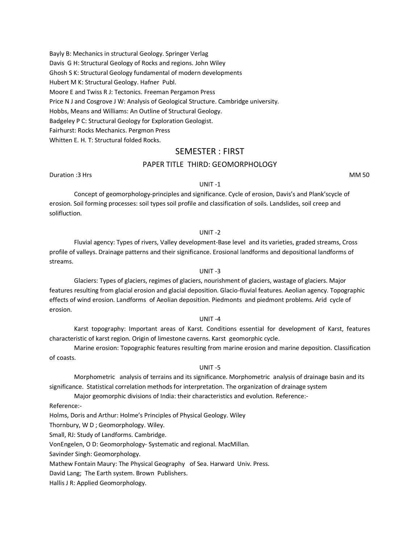Bayly B: Mechanics in structural Geology. Springer Verlag Davis G H: Structural Geology of Rocks and regions. John Wiley Ghosh S K: Structural Geology fundamental of modern developments Hubert M K: Structural Geology. Hafner Publ. Moore E and Twiss R J: Tectonics. Freeman Pergamon Press Price N J and Cosgrove J W: Analysis of Geological Structure. Cambridge university. Hobbs, Means and Williams: An Outline of Structural Geology. Badgeley P C: Structural Geology for Exploration Geologist. Fairhurst: Rocks Mechanics. Pergmon Press Whitten E. H. T: Structural folded Rocks.

# SEMESTER : FIRST

# PAPER TITLE THIRD: GEOMORPHOLOGY

Duration :3 Hrs MM 50

#### UNIT -1

Concept of geomorphology-principles and significance. Cycle of erosion, Davis's and Plank'scycle of erosion. Soil forming processes: soil types soil profile and classification of soils. Landslides, soil creep and solifluction.

#### UNIT -2

Fluvial agency: Types of rivers, Valley development-Base level and its varieties, graded streams, Cross profile of valleys. Drainage patterns and their significance. Erosional landforms and depositional landforms of streams.

#### UNIT -3

Glaciers: Types of glaciers, regimes of glaciers, nourishment of glaciers, wastage of glaciers. Major features resulting from glacial erosion and glacial deposition. Glacio-fluvial features. Aeolian agency. Topographic effects of wind erosion. Landforms of Aeolian deposition. Piedmonts and piedmont problems. Arid cycle of erosion.

#### UNIT -4

Karst topography: Important areas of Karst. Conditions essential for development of Karst, features characteristic of karst region. Origin of limestone caverns. Karst geomorphic cycle.

Marine erosion: Topographic features resulting from marine erosion and marine deposition. Classification of coasts.

#### UNIT -5

Morphometric analysis of terrains and its significance. Morphometric analysis of drainage basin and its significance. Statistical correlation methods for interpretation. The organization of drainage system

Major geomorphic divisions of India: their characteristics and evolution. Reference:-

Reference:-

Holms, Doris and Arthur: Holme's Principles of Physical Geology. Wiley

Thornbury, W D ; Geomorphology. Wiley.

Small, RJ: Study of Landforms. Cambridge.

VonEngelen, O D: Geomorphology- Systematic and regional. MacMillan.

Savinder Singh: Geomorphology.

Mathew Fontain Maury: The Physical Geography of Sea. Harward Univ. Press.

David Lang; The Earth system. Brown Publishers.

Hallis J R: Applied Geomorphology.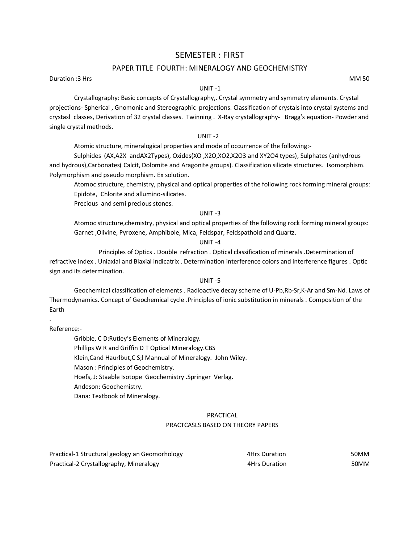# SEMESTER : FIRST

# PAPER TITLE FOURTH: MINERALOGY AND GEOCHEMISTRY

Duration :3 Hrs MM 50

# UNIT -1

Crystallography: Basic concepts of Crystallography,. Crystal symmetry and symmetry elements. Crystal projections- Spherical , Gnomonic and Stereographic projections. Classification of crystals into crystal systems and crystasl classes, Derivation of 32 crystal classes. Twinning . X-Ray crystallography- Bragg's equation- Powder and single crystal methods.

# UNIT -2

Atomic structure, mineralogical properties and mode of occurrence of the following:-

Sulphides (AX,A2X andAX2Types), Oxides(XO ,X2O,XO2,X2O3 and XY2O4 types), Sulphates (anhydrous and hydrous),Carbonates( Calcit, Dolomite and Aragonite groups). Classification silicate structures. Isomorphism. Polymorphism and pseudo morphism. Ex solution.

Atomoc structure, chemistry, physical and optical properties of the following rock forming mineral groups: Epidote, Chlorite and allumino-silicates.

Precious and semi precious stones.

#### UNIT -3

Atomoc structure,chemistry, physical and optical properties of the following rock forming mineral groups: Garnet ,Olivine, Pyroxene, Amphibole, Mica, Feldspar, Feldspathoid and Quartz.

#### UNIT -4

Principles of Optics . Double refraction . Optical classification of minerals .Determination of refractive index . Uniaxial and Biaxial indicatrix . Determination interference colors and interference figures . Optic sign and its determination.

#### UNIT -5

Geochemical classification of elements . Radioactive decay scheme of U-Pb,Rb-Sr,K-Ar and Sm-Nd. Laws of Thermodynamics. Concept of Geochemical cycle .Principles of ionic substitution in minerals . Composition of the Earth

Reference:-

.

Gribble, C D:Rutley's Elements of Mineralogy. Phillips W R and Griffin D T Optical Mineralogy.CBS Klein,Cand Haurlbut,C S;l Mannual of Mineralogy. John Wiley. Mason : Principles of Geochemistry. Hoefs, J: Staable Isotope Geochemistry .Springer Verlag. Andeson: Geochemistry. Dana: Textbook of Mineralogy.

# PRACTICAL

## PRACTCASLS BASED ON THEORY PAPERS

| Practical-1 Structural geology an Geomorhology | 4Hrs Duration        | 50MM |
|------------------------------------------------|----------------------|------|
| Practical-2 Crystallography, Mineralogy        | <b>4Hrs Duration</b> | 50MM |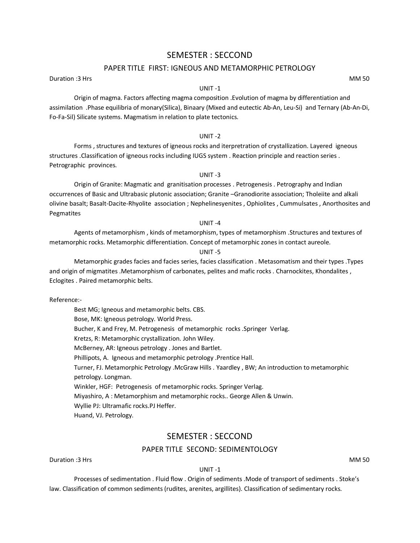# SEMESTER : SECCOND

# PAPER TITLE FIRST: IGNEOUS AND METAMORPHIC PETROLOGY

Duration :3 Hrs MM 50

# UNIT -1

Origin of magma. Factors affecting magma composition .Evolution of magma by differentiation and assimilation .Phase equilibria of monary(Silica), Binaary (Mixed and eutectic Ab-An, Leu-Si) and Ternary (Ab-An-Di, Fo-Fa-Sil) Silicate systems. Magmatism in relation to plate tectonics.

# UNIT -2

Forms , structures and textures of igneous rocks and iterpretration of crystallization. Layered igneous structures .Classification of igneous rocks including IUGS system . Reaction principle and reaction series . Petrographic provinces.

# UNIT -3

Origin of Granite: Magmatic and granitisation processes . Petrogenesis . Petrography and Indian occurrences of Basic and Ultrabasic plutonic association; Granite –Granodiorite association; Tholeiite and alkali olivine basalt; Basalt-Dacite-Rhyolite association ; Nephelinesyenites , Ophiolites , Cummulsates , Anorthosites and Pegmatites

# UNIT -4

Agents of metamorphism , kinds of metamorphism, types of metamorphism .Structures and textures of metamorphic rocks. Metamorphic differentiation. Concept of metamorphic zones in contact aureole.

# UNIT -5

Metamorphic grades facies and facies series, facies classification . Metasomatism and their types .Types and origin of migmatites .Metamorphism of carbonates, pelites and mafic rocks . Charnockites, Khondalites , Eclogites . Paired metamorphic belts.

Reference:-

Best MG; Igneous and metamorphic belts. CBS. Bose, MK: Igneous petrology. World Press. Bucher, K and Frey, M. Petrogenesis of metamorphic rocks .Springer Verlag. Kretzs, R: Metamorphic crystallization. John Wiley. McBerney, AR: Igneous petrology . Jones and Bartlet. Phillipots, A. Igneous and metamorphic petrology .Prentice Hall. Turner, FJ. Metamorphic Petrology .McGraw Hills . Yaardley , BW; An introduction to metamorphic petrology. Longman. Winkler, HGF: Petrogenesis of metamorphic rocks. Springer Verlag. Miyashiro, A : Metamorphism and metamorphic rocks.. George Allen & Unwin. Wyllie PJ: Ultramafic rocks.PJ Heffer. Huand, VJ. Petrology.

# SEMESTER : SECCOND

# PAPER TITLE SECOND: SEDIMENTOLOGY

Duration :3 Hrs MM 50

UNIT -1

Processes of sedimentation . Fluid flow . Origin of sediments .Mode of transport of sediments . Stoke's law. Classification of common sediments (rudites, arenites, argillites). Classification of sedimentary rocks.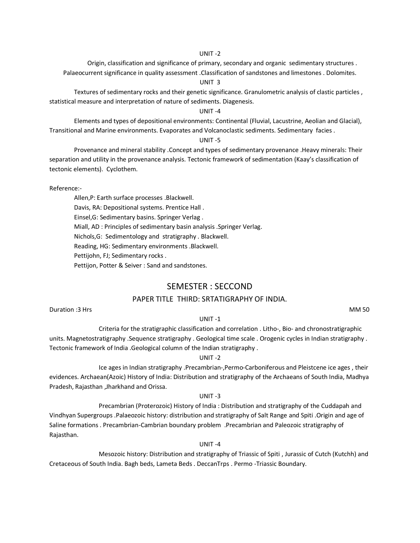Origin, classification and significance of primary, secondary and organic sedimentary structures . Palaeocurrent significance in quality assessment .Classification of sandstones and limestones . Dolomites.

#### UNIT 3

Textures of sedimentary rocks and their genetic significance. Granulometric analysis of clastic particles , statistical measure and interpretation of nature of sediments. Diagenesis.

## UNIT -4

Elements and types of depositional environments: Continental (Fluvial, Lacustrine, Aeolian and Glacial), Transitional and Marine environments. Evaporates and Volcanoclastic sediments. Sedimentary facies .

#### UNIT -5

Provenance and mineral stability .Concept and types of sedimentary provenance .Heavy minerals: Their separation and utility in the provenance analysis. Tectonic framework of sedimentation (Kaay's classification of tectonic elements). Cyclothem.

Reference:-

Allen,P: Earth surface processes .Blackwell. Davis, RA: Depositional systems. Prentice Hall . Einsel,G: Sedimentary basins. Springer Verlag . Miall, AD : Principles of sedimentary basin analysis .Springer Verlag. Nichols,G: Sedimentology and stratigraphy . Blackwell. Reading, HG: Sedimentary environments .Blackwell. Pettijohn, FJ; Sedimentary rocks .

Pettijon, Potter & Seiver : Sand and sandstones.

# SEMESTER : SECCOND

# PAPER TITLE THIRD: SRTATIGRAPHY OF INDIA.

Duration :3 Hrs MM 50

#### UNIT -1

Criteria for the stratigraphic classification and correlation . Litho-, Bio- and chronostratigraphic units. Magnetostratigraphy .Sequence stratigraphy . Geological time scale . Orogenic cycles in Indian stratigraphy . Tectonic framework of India .Geological column of the Indian stratigraphy .

#### UNIT -2

Ice ages in Indian stratigraphy .Precambrian-,Permo-Carboniferous and Pleistcene ice ages , their evidences. Archaean(Azoic) History of India: Distribution and stratigraphy of the Archaeans of South India, Madhya Pradesh, Rajasthan ,Jharkhand and Orissa.

# UNIT -3

Precambrian (Proterozoic) History of India : Distribution and stratigraphy of the Cuddapah and Vindhyan Supergroups .Palaeozoic history: distribution and stratigraphy of Salt Range and Spiti .Origin and age of Saline formations . Precambrian-Cambrian boundary problem .Precambrian and Paleozoic stratigraphy of Rajasthan.

#### UNIT -4

Mesozoic history: Distribution and stratigraphy of Triassic of Spiti , Jurassic of Cutch (Kutchh) and Cretaceous of South India. Bagh beds, Lameta Beds . DeccanTrps . Permo -Triassic Boundary.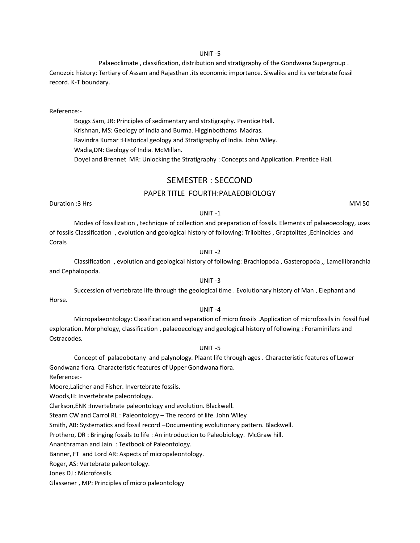Palaeoclimate , classification, distribution and stratigraphy of the Gondwana Supergroup . Cenozoic history: Tertiary of Assam and Rajasthan .its economic importance. Siwaliks and its vertebrate fossil record. K-T boundary.

#### Reference:-

Boggs Sam, JR: Principles of sedimentary and strstigraphy. Prentice Hall. Krishnan, MS: Geology of India and Burma. Higginbothams Madras. Ravindra Kumar :Historical geology and Stratigraphy of India. John Wiley. Wadia,DN: Geology of India. McMillan. Doyel and Brennet MR: Unlocking the Stratigraphy : Concepts and Application. Prentice Hall.

# SEMESTER : SECCOND

# PAPER TITLE FOURTH:PALAEOBIOLOGY

Duration :3 Hrs MM 50

UNIT -1

Modes of fossilization , technique of collection and preparation of fossils. Elements of palaeoecology, uses of fossils Classification , evolution and geological history of following: Trilobites , Graptolites ,Echinoides and Corals

# UNIT -2

Classification , evolution and geological history of following: Brachiopoda , Gasteropoda ,, Lamellibranchia and Cephalopoda. UNIT -3

Succession of vertebrate life through the geological time . Evolutionary history of Man , Elephant and Horse.

# UNIT -4

Micropalaeontology: Classification and separation of micro fossils .Application of microfossils in fossil fuel exploration. Morphology, classification , palaeoecology and geological history of following : Foraminifers and Ostracodes.

# UNIT -5

Concept of palaeobotany and palynology. Plaant life through ages . Characteristic features of Lower Gondwana flora. Characteristic features of Upper Gondwana flora.

Reference:-

Moore,Lalicher and Fisher. Invertebrate fossils.

Woods,H: Invertebrate paleontology.

Clarkson,ENK :Invertebrate paleontology and evolution. Blackwell.

Stearn CW and Carrol RL : Paleontology – The record of life. John Wiley

Smith, AB: Systematics and fossil record –Documenting evolutionary pattern. Blackwell.

Prothero, DR : Bringing fossils to life : An introduction to Paleobiology. McGraw hill.

Ananthraman and Jain : Textbook of Paleontology.

Banner, FT and Lord AR: Aspects of micropaleontology.

Roger, AS: Vertebrate paleontology.

Jones DJ : Microfossils.

Glassener , MP: Principles of micro paleontology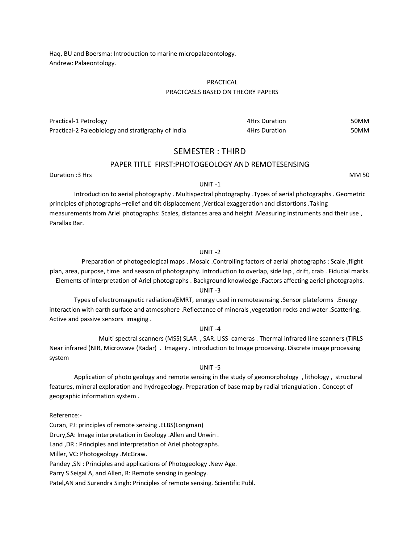Haq, BU and Boersma: Introduction to marine micropalaeontology. Andrew: Palaeontology.

## PRACTICAL PRACTCASLS BASED ON THEORY PAPERS

| Practical-1 Petrology                              | 4Hrs Duration | 50MM |
|----------------------------------------------------|---------------|------|
| Practical-2 Paleobiology and stratigraphy of India | 4Hrs Duration | 50MM |

# SEMESTER : THIRD

#### PAPER TITLE FIRST:PHOTOGEOLOGY AND REMOTESENSING

Duration :3 Hrs MM 50

#### UNIT -1

Introduction to aerial photography . Multispectral photography .Types of aerial photographs . Geometric principles of photographs –relief and tilt displacement ,Vertical exaggeration and distortions .Taking measurements from Ariel photographs: Scales, distances area and height .Measuring instruments and their use , Parallax Bar.

# UNIT -2

Preparation of photogeological maps . Mosaic .Controlling factors of aerial photographs : Scale ,flight plan, area, purpose, time and season of photography. Introduction to overlap, side lap , drift, crab . Fiducial marks. Elements of interpretation of Ariel photographs . Background knowledge .Factors affecting aeriel photographs.

## UNIT -3

Types of electromagnetic radiations(EMRT, energy used in remotesensing .Sensor plateforms .Energy interaction with earth surface and atmosphere .Reflectance of minerals ,vegetation rocks and water .Scattering. Active and passive sensors imaging .

# UNIT -4

Multi spectral scanners (MSS) SLAR , SAR. LISS cameras . Thermal infrared line scanners (TIRLS Near infrared (NIR, Microwave (Radar) . Imagery . Introduction to Image processing. Discrete image processing system

#### UNIT -5

Application of photo geology and remote sensing in the study of geomorphology , lithology , structural features, mineral exploration and hydrogeology. Preparation of base map by radial triangulation . Concept of geographic information system .

Reference:-

Curan, PJ: principles of remote sensing .ELBS(Longman) Drury,SA: Image interpretation in Geology .Allen and Unwin . Land ,DR : Principles and interpretation of Ariel photographs. Miller, VC: Photogeology .McGraw. Pandey ,SN : Principles and applications of Photogeology .New Age. Parry S Seigal A, and Allen, R: Remote sensing in geology. Patel,AN and Surendra Singh: Principles of remote sensing. Scientific Publ.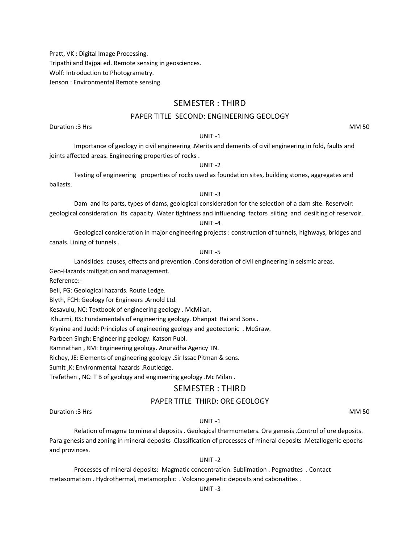Pratt, VK : Digital Image Processing. Tripathi and Bajpai ed. Remote sensing in geosciences. Wolf: Introduction to Photogrametry. Jenson : Environmental Remote sensing.

# SEMESTER : THIRD

# PAPER TITLE SECOND: ENGINEERING GEOLOGY

Duration :3 Hrs MM 50

# UNIT -1

Importance of geology in civil engineering .Merits and demerits of civil engineering in fold, faults and joints affected areas. Engineering properties of rocks .

#### UNIT -2

Testing of engineering properties of rocks used as foundation sites, building stones, aggregates and ballasts.

#### UNIT -3

Dam and its parts, types of dams, geological consideration for the selection of a dam site. Reservoir: geological consideration. Its capacity. Water tightness and influencing factors .silting and desilting of reservoir.

# UNIT -4

Geological consideration in major engineering projects : construction of tunnels, highways, bridges and canals. Lining of tunnels .

# UNIT -5

Landslides: causes, effects and prevention .Consideration of civil engineering in seismic areas.

Geo-Hazards :mitigation and management.

Reference:-

Bell, FG: Geological hazards. Route Ledge.

Blyth, FCH: Geology for Engineers .Arnold Ltd.

Kesavulu, NC: Textbook of engineering geology . McMilan.

Khurmi, RS: Fundamentals of engineering geology. Dhanpat Rai and Sons .

Krynine and Judd: Principles of engineering geology and geotectonic . McGraw.

Parbeen Singh: Engineering geology. Katson Publ.

Ramnathan , RM: Engineering geology. Anuradha Agency TN.

Richey, JE: Elements of engineering geology .Sir Issac Pitman & sons.

Sumit ,K: Environmental hazards .Routledge.

Trefethen , NC: T B of geology and engineering geology .Mc Milan .

# SEMESTER : THIRD

# PAPER TITLE THIRD: ORE GEOLOGY

Duration :3 Hrs MM 50

#### UNIT -1

Relation of magma to mineral deposits . Geological thermometers. Ore genesis .Control of ore deposits. Para genesis and zoning in mineral deposits .Classification of processes of mineral deposits .Metallogenic epochs and provinces.

#### UNIT -2

Processes of mineral deposits: Magmatic concentration. Sublimation . Pegmatites . Contact metasomatism . Hydrothermal, metamorphic . Volcano genetic deposits and cabonatites .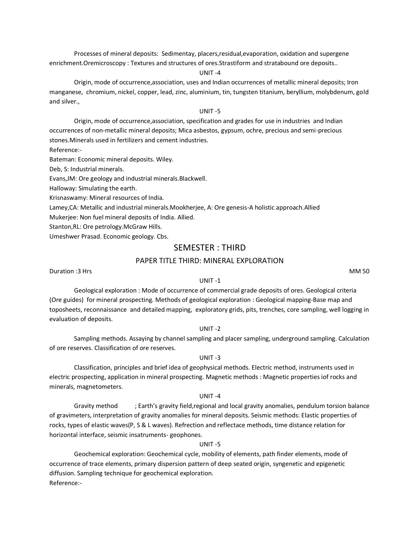Processes of mineral deposits: Sedimentay, placers,residual,evaporation, oxidation and supergene enrichment.Oremicroscopy : Textures and structures of ores.Strastiform and stratabound ore deposits..

#### UNIT -4

Origin, mode of occurrence,association, uses and Indian occurrences of metallic mineral deposits; Iron manganese, chromium, nickel, copper, lead, zinc, aluminium, tin, tungsten titanium, beryllium, molybdenum, gold and silver.,

## UNIT -5

Origin, mode of occurrence,association, specification and grades for use in industries and Indian occurrences of non-metallic mineral deposits; Mica asbestos, gypsum, ochre, precious and semi-precious stones.Minerals used in fertilizers and cement industries.

Reference:-

Bateman: Economic mineral deposits. Wiley.

Deb, S: Industrial minerals.

Evans,JM: Ore geology and industrial minerals.Blackwell.

Halloway: Simulating the earth.

Krisnaswamy: Mineral resources of India.

Lamey,CA: Metallic and industrial minerals.Mookherjee, A: Ore genesis-A holistic approach.Allied

Mukerjee: Non fuel mineral deposits of India. Allied.

Stanton,RL: Ore petrology.McGraw Hills.

Umeshwer Prasad. Economic geology. Cbs.

# SEMESTER : THIRD

# PAPER TITLE THIRD: MINERAL EXPLORATION

Duration :3 Hrs MM 50

## UNIT -1

Geological exploration : Mode of occurrence of commercial grade deposits of ores. Geological criteria (Ore guides) for mineral prospecting. Methods of geological exploration : Geological mapping-Base map and toposheets, reconnaissance and detailed mapping, exploratory grids, pits, trenches, core sampling, well logging in evaluation of deposits.

#### UNIT -2

Sampling methods. Assaying by channel sampling and placer sampling, underground sampling. Calculation of ore reserves. Classification of ore reserves.

# UNIT -3

Classification, principles and brief idea of geophysical methods. Electric method, instruments used in electric prospecting, application in mineral prospecting. Magnetic methods : Magnetic properties iof rocks and minerals, magnetometers.

#### UNIT -4

Gravity method ; Earth's gravity field, regional and local gravity anomalies, pendulum torsion balance of gravimeters, interpretation of gravity anomalies for mineral deposits. Seismic methods: Elastic properties of rocks, types of elastic waves(P, S & L waves). Refrection and reflectace methods, time distance relation for horizontal interface, seismic insatruments- geophones.

#### UNIT -5

Geochemical exploration: Geochemical cycle, mobility of elements, path finder elements, mode of occurrence of trace elements, primary dispersion pattern of deep seated origin, syngenetic and epigenetic diffusion. Sampling technique for geochemical exploration. Reference:-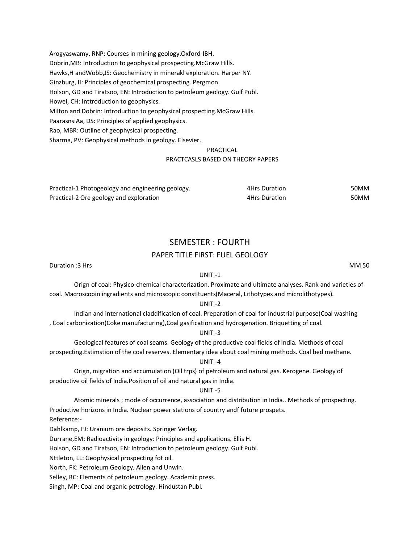Arogyaswamy, RNP: Courses in mining geology.Oxford-IBH. Dobrin,MB: Introduction to geophysical prospecting.McGraw Hills. Hawks,H andWobb,JS: Geochemistry in minerakl exploration. Harper NY. Ginzburg, II: Principles of geochemical prospecting. Pergmon. Holson, GD and Tiratsoo, EN: Introduction to petroleum geology. Gulf Publ. Howel, CH: Inttroduction to geophysics. Milton and Dobrin: Introduction to geophysical prospecting.McGraw Hills. PaarasnsiAa, DS: Principles of applied geophysics. Rao, MBR: Outline of geophysical prospecting. Sharma, PV: Geophysical methods in geology. Elsevier.

## PRACTICAL

#### PRACTCASLS BASED ON THEORY PAPERS

| Practical-1 Photogeology and engineering geology. | 4Hrs Duration | 50MM |
|---------------------------------------------------|---------------|------|
| Practical-2 Ore geology and exploration           | 4Hrs Duration | 50MM |

# SEMESTER : FOURTH

# PAPER TITLE FIRST: FUEL GEOLOGY

Duration :3 Hrs MM 50

## UNIT -1

Orign of coal: Physico-chemical characterization. Proximate and ultimate analyses. Rank and varieties of coal. Macroscopin ingradients and microscopic constituents(Maceral, Lithotypes and microlithotypes).

#### UNIT -2

Indian and international claddification of coal. Preparation of coal for industrial purpose(Coal washing , Coal carbonization(Coke manufacturing),Coal gasification and hydrogenation. Briquetting of coal.

#### UNIT -3

Geological features of coal seams. Geology of the productive coal fields of India. Methods of coal prospecting.Estimstion of the coal reserves. Elementary idea about coal mining methods. Coal bed methane.

#### UNIT -4

Orign, migration and accumulation (Oil trps) of petroleum and natural gas. Kerogene. Geology of productive oil fields of India.Position of oil and natural gas in India.

#### UNIT -5

Atomic minerals ; mode of occurrence, association and distribution in India.. Methods of prospecting. Productive horizons in India. Nuclear power stations of country andf future prospets.

Reference:-

Dahlkamp, FJ: Uranium ore deposits. Springer Verlag.

Durrane,EM: Radioactivity in geology: Principles and applications. Ellis H.

Holson, GD and Tiratsoo, EN: Introduction to petroleum geology. Gulf Publ.

Nttleton, LL: Geophysical prospecting fot oil.

North, FK: Petroleum Geology. Allen and Unwin.

Selley, RC: Elements of petroleum geology. Academic press.

Singh, MP: Coal and organic petrology. Hindustan Publ.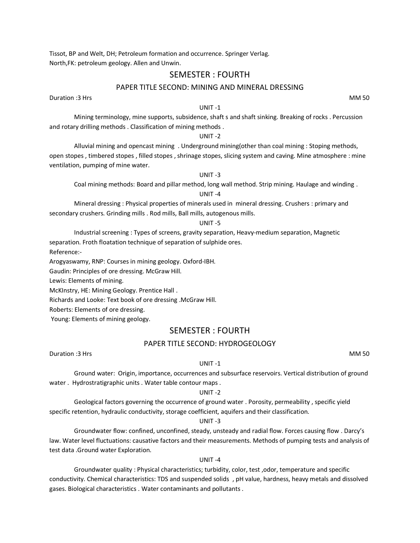Tissot, BP and Welt, DH; Petroleum formation and occurrence. Springer Verlag. North,FK: petroleum geology. Allen and Unwin.

# SEMESTER : FOURTH

# PAPER TITLE SECOND: MINING AND MINERAL DRESSING

Duration :3 Hrs MM 50

#### UNIT -1

Mining terminology, mine supports, subsidence, shaft s and shaft sinking. Breaking of rocks . Percussion and rotary drilling methods . Classification of mining methods .

# UNIT -2

Alluvial mining and opencast mining . Underground mining(other than coal mining : Stoping methods, open stopes , timbered stopes , filled stopes , shrinage stopes, slicing system and caving. Mine atmosphere : mine ventilation, pumping of mine water.

# UNIT -3

Coal mining methods: Board and pillar method, long wall method. Strip mining. Haulage and winding .

# UNIT -4

Mineral dressing : Physical properties of minerals used in mineral dressing. Crushers : primary and secondary crushers. Grinding mills . Rod mills, Ball mills, autogenous mills.

#### UNIT -5

Industrial screening : Types of screens, gravity separation, Heavy-medium separation, Magnetic separation. Froth floatation technique of separation of sulphide ores. Reference:-

Arogyaswamy, RNP: Courses in mining geology. Oxford-IBH.

Gaudin: Principles of ore dressing. McGraw Hill.

Lewis: Elements of mining.

McKInstry, HE: Mining Geology. Prentice Hall .

Richards and Looke: Text book of ore dressing .McGraw Hill.

Roberts: Elements of ore dressing.

Young: Elements of mining geology.

# SEMESTER : FOURTH

# PAPER TITLE SECOND: HYDROGEOLOGY

Duration :3 Hrs MM 50

#### UNIT -1

Ground water: Origin, importance, occurrences and subsurface reservoirs. Vertical distribution of ground water . Hydrostratigraphic units . Water table contour maps .

## UNIT -2

Geological factors governing the occurrence of ground water . Porosity, permeability , specific yield specific retention, hydraulic conductivity, storage coefficient, aquifers and their classification.

#### UNIT -3

Groundwater flow: confined, unconfined, steady, unsteady and radial flow. Forces causing flow . Darcy's law. Water level fluctuations: causative factors and their measurements. Methods of pumping tests and analysis of test data .Ground water Exploration.

#### UNIT -4

Groundwater quality : Physical characteristics; turbidity, color, test ,odor, temperature and specific conductivity. Chemical characteristics: TDS and suspended solids , pH value, hardness, heavy metals and dissolved gases. Biological characteristics . Water contaminants and pollutants .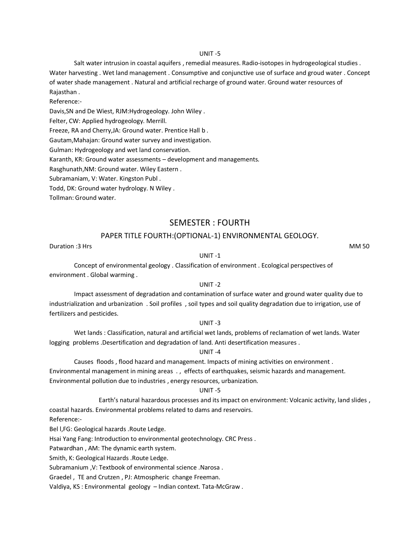Salt water intrusion in coastal aquifers , remedial measures. Radio-isotopes in hydrogeological studies . Water harvesting . Wet land management . Consumptive and conjunctive use of surface and groud water . Concept of water shade management . Natural and artificial recharge of ground water. Ground water resources of Rajasthan .

# Reference:-

Davis,SN and De Wiest, RJM:Hydrogeology. John Wiley .

Felter, CW: Applied hydrogeology. Merrill.

Freeze, RA and Cherry,JA: Ground water. Prentice Hall b .

Gautam,Mahajan: Ground water survey and investigation.

Gulman: Hydrogeology and wet land conservation.

Karanth, KR: Ground water assessments – development and managements.

Rasghunath,NM: Ground water. Wiley Eastern .

Subramaniam, V: Water. Kingston Publ .

Todd, DK: Ground water hydrology. N Wiley .

Tollman: Ground water.

# SEMESTER : FOURTH

# PAPER TITLE FOURTH:(OPTIONAL-1) ENVIRONMENTAL GEOLOGY.

Duration :3 Hrs MM 50

# UNIT -1

Concept of environmental geology . Classification of environment . Ecological perspectives of environment . Global warming .

## UNIT -2

Impact assessment of degradation and contamination of surface water and ground water quality due to industrialization and urbanization . Soil profiles , soil types and soil quality degradation due to irrigation, use of fertilizers and pesticides.

#### UNIT -3

Wet lands : Classification, natural and artificial wet lands, problems of reclamation of wet lands. Water logging problems .Desertification and degradation of land. Anti desertification measures .

## UNIT -4

Causes floods , flood hazard and management. Impacts of mining activities on environment . Environmental management in mining areas . , effects of earthquakes, seismic hazards and management. Environmental pollution due to industries , energy resources, urbanization.

#### UNIT -5

Earth's natural hazardous processes and its impact on environment: Volcanic activity, land slides , coastal hazards. Environmental problems related to dams and reservoirs.

Reference:-

Bel l,FG: Geological hazards .Route Ledge.

Hsai Yang Fang: Introduction to environmental geotechnology. CRC Press .

Patwardhan , AM: The dynamic earth system.

Smith, K: Geological Hazards .Route Ledge.

Subramanium ,V: Textbook of environmental science .Narosa .

Graedel , TE and Crutzen , PJ: Atmospheric change Freeman.

Valdiya, KS : Environmental geology – Indian context. Tata-McGraw .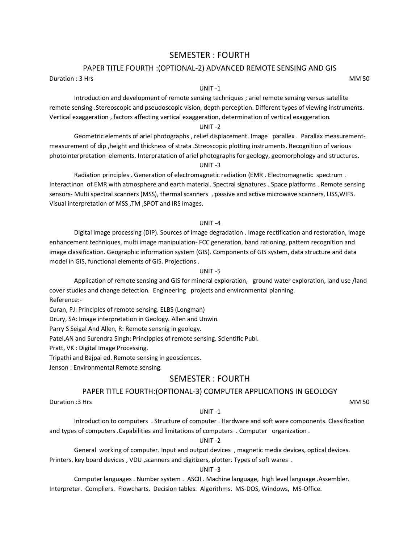# SEMESTER : FOURTH

# PAPER TITLE FOURTH :(OPTIONAL-2) ADVANCED REMOTE SENSING AND GIS

Duration : 3 Hrs MM 50

#### UNIT -1

Introduction and development of remote sensing techniques ; ariel remote sensing versus satellite remote sensing .Stereoscopic and pseudoscopic vision, depth perception. Different types of viewing instruments. Vertical exaggeration , factors affecting vertical exaggeration, determination of vertical exaggeration.

# UNIT -2

Geometric elements of ariel photographs , relief displacement. Image parallex . Parallax measurementmeasurement of dip ,height and thickness of strata .Streoscopic plotting instruments. Recognition of various photointerpretation elements. Interpratation of ariel photographs for geology, geomorphology and structures.

# UNIT -3

Radiation principles . Generation of electromagnetic radiation (EMR . Electromagnetic spectrum . Interactinon of EMR with atmosphere and earth material. Spectral signatures . Space platforms . Remote sensing sensors- Multi spectral scanners (MSS), thermal scanners , passive and active microwave scanners, LISS,WIFS. Visual interpretation of MSS ,TM ,SPOT and IRS images.

#### UNIT -4

Digital image processing (DIP). Sources of image degradation . Image rectification and restoration, image enhancement techniques, multi image manipulation- FCC generation, band rationing, pattern recognition and image classification. Geographic information system (GIS). Components of GIS system, data structure and data model in GIS, functional elements of GIS. Projections .

#### UNIT -5

Application of remote sensing and GIS for mineral exploration, ground water exploration, land use /land cover studies and change detection. Engineering projects and environmental planning. Reference:-

Curan, PJ: Principles of remote sensing. ELBS (Longman)

Drury, SA: Image interpretation in Geology. Allen and Unwin.

Parry S Seigal And Allen, R: Remote sensnig in geology.

Patel,AN and Surendra Singh: Principples of remote sensing. Scientific Publ.

Pratt, VK : Digital Image Processing.

Tripathi and Bajpai ed. Remote sensing in geosciences.

Jenson : Environmental Remote sensing.

# SEMESTER : FOURTH

# PAPER TITLE FOURTH:(OPTIONAL-3) COMPUTER APPLICATIONS IN GEOLOGY

Duration :3 Hrs MM 50

#### UNIT -1

Introduction to computers . Structure of computer . Hardware and soft ware components. Classification and types of computers .Capabilities and limitations of computers . Computer organization .

### UNIT -2

General working of computer. Input and output devices , magnetic media devices, optical devices. Printers, key board devices , VDU ,scanners and digitizers, plotter. Types of soft wares .

#### UNIT -3

Computer languages . Number system . ASCII . Machine language, high level language .Assembler. Interpreter. Compliers. Flowcharts. Decision tables. Algorithms. MS-DOS, Windows, MS-Office.